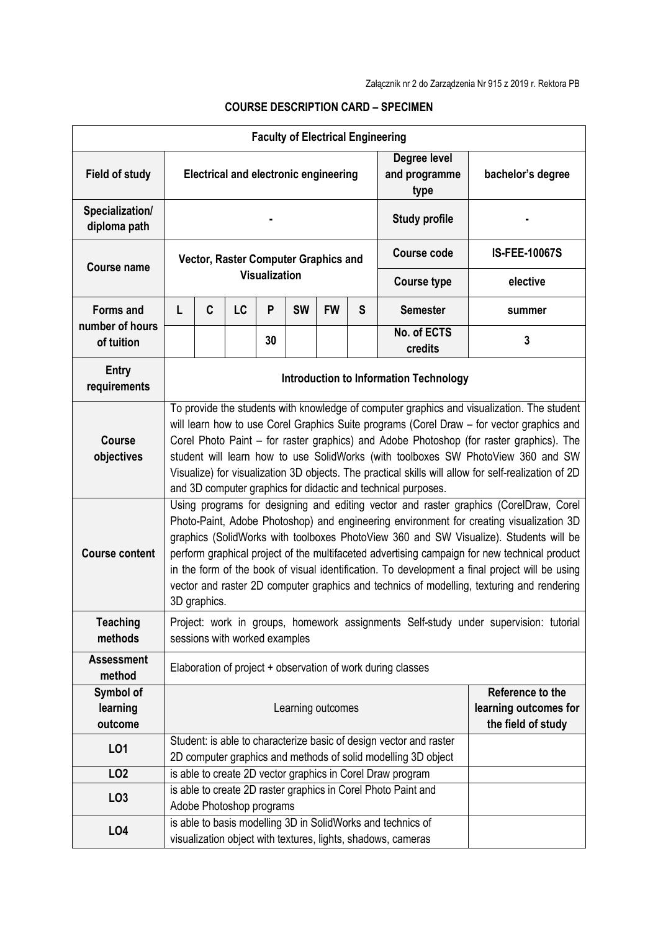|                                                      |                                                                                                                                                                                                                                                                                                                                                                                                                                                                                                                                                                                                                                                                                                                                                                                                                                                                                                                                                                                                                               |   |                               |    | <b>Faculty of Electrical Engineering</b> |                   |   |                                                                                                                                     |                                                                                      |
|------------------------------------------------------|-------------------------------------------------------------------------------------------------------------------------------------------------------------------------------------------------------------------------------------------------------------------------------------------------------------------------------------------------------------------------------------------------------------------------------------------------------------------------------------------------------------------------------------------------------------------------------------------------------------------------------------------------------------------------------------------------------------------------------------------------------------------------------------------------------------------------------------------------------------------------------------------------------------------------------------------------------------------------------------------------------------------------------|---|-------------------------------|----|------------------------------------------|-------------------|---|-------------------------------------------------------------------------------------------------------------------------------------|--------------------------------------------------------------------------------------|
| <b>Field of study</b>                                | Degree level<br>and programme<br><b>Electrical and electronic engineering</b><br>type                                                                                                                                                                                                                                                                                                                                                                                                                                                                                                                                                                                                                                                                                                                                                                                                                                                                                                                                         |   |                               |    |                                          | bachelor's degree |   |                                                                                                                                     |                                                                                      |
| Specialization/<br>diploma path                      |                                                                                                                                                                                                                                                                                                                                                                                                                                                                                                                                                                                                                                                                                                                                                                                                                                                                                                                                                                                                                               |   |                               |    |                                          |                   |   | <b>Study profile</b>                                                                                                                |                                                                                      |
| <b>Course name</b>                                   | Vector, Raster Computer Graphics and<br><b>Visualization</b>                                                                                                                                                                                                                                                                                                                                                                                                                                                                                                                                                                                                                                                                                                                                                                                                                                                                                                                                                                  |   |                               |    |                                          |                   |   | Course code                                                                                                                         | <b>IS-FEE-10067S</b>                                                                 |
|                                                      |                                                                                                                                                                                                                                                                                                                                                                                                                                                                                                                                                                                                                                                                                                                                                                                                                                                                                                                                                                                                                               |   |                               |    |                                          |                   |   | <b>Course type</b>                                                                                                                  | elective                                                                             |
| <b>Forms and</b>                                     | L                                                                                                                                                                                                                                                                                                                                                                                                                                                                                                                                                                                                                                                                                                                                                                                                                                                                                                                                                                                                                             | C | LC                            | P  | <b>SW</b>                                | <b>FW</b>         | S | <b>Semester</b>                                                                                                                     | summer                                                                               |
| number of hours<br>of tuition                        |                                                                                                                                                                                                                                                                                                                                                                                                                                                                                                                                                                                                                                                                                                                                                                                                                                                                                                                                                                                                                               |   |                               | 30 |                                          |                   |   | No. of ECTS<br>credits                                                                                                              | 3                                                                                    |
| Entry<br>requirements                                |                                                                                                                                                                                                                                                                                                                                                                                                                                                                                                                                                                                                                                                                                                                                                                                                                                                                                                                                                                                                                               |   |                               |    |                                          |                   |   | <b>Introduction to Information Technology</b>                                                                                       |                                                                                      |
| <b>Course</b><br>objectives<br><b>Course content</b> | To provide the students with knowledge of computer graphics and visualization. The student<br>will learn how to use Corel Graphics Suite programs (Corel Draw - for vector graphics and<br>Corel Photo Paint – for raster graphics) and Adobe Photoshop (for raster graphics). The<br>student will learn how to use SolidWorks (with toolboxes SW PhotoView 360 and SW<br>Visualize) for visualization 3D objects. The practical skills will allow for self-realization of 2D<br>and 3D computer graphics for didactic and technical purposes.<br>Using programs for designing and editing vector and raster graphics (CorelDraw, Corel<br>Photo-Paint, Adobe Photoshop) and engineering environment for creating visualization 3D<br>graphics (SolidWorks with toolboxes PhotoView 360 and SW Visualize). Students will be<br>perform graphical project of the multifaceted advertising campaign for new technical product<br>in the form of the book of visual identification. To development a final project will be using |   |                               |    |                                          |                   |   |                                                                                                                                     |                                                                                      |
|                                                      | vector and raster 2D computer graphics and technics of modelling, texturing and rendering<br>3D graphics.                                                                                                                                                                                                                                                                                                                                                                                                                                                                                                                                                                                                                                                                                                                                                                                                                                                                                                                     |   |                               |    |                                          |                   |   |                                                                                                                                     |                                                                                      |
| <b>Teaching</b><br>methods                           |                                                                                                                                                                                                                                                                                                                                                                                                                                                                                                                                                                                                                                                                                                                                                                                                                                                                                                                                                                                                                               |   | sessions with worked examples |    |                                          |                   |   |                                                                                                                                     | Project: work in groups, homework assignments Self-study under supervision: tutorial |
| <b>Assessment</b><br>method                          |                                                                                                                                                                                                                                                                                                                                                                                                                                                                                                                                                                                                                                                                                                                                                                                                                                                                                                                                                                                                                               |   |                               |    |                                          |                   |   | Elaboration of project + observation of work during classes                                                                         |                                                                                      |
| Symbol of<br>learning<br>outcome                     | Reference to the<br>learning outcomes for<br>Learning outcomes<br>the field of study                                                                                                                                                                                                                                                                                                                                                                                                                                                                                                                                                                                                                                                                                                                                                                                                                                                                                                                                          |   |                               |    |                                          |                   |   |                                                                                                                                     |                                                                                      |
| LO1                                                  |                                                                                                                                                                                                                                                                                                                                                                                                                                                                                                                                                                                                                                                                                                                                                                                                                                                                                                                                                                                                                               |   |                               |    |                                          |                   |   | Student: is able to characterize basic of design vector and raster<br>2D computer graphics and methods of solid modelling 3D object |                                                                                      |
| LO <sub>2</sub>                                      |                                                                                                                                                                                                                                                                                                                                                                                                                                                                                                                                                                                                                                                                                                                                                                                                                                                                                                                                                                                                                               |   |                               |    |                                          |                   |   | is able to create 2D vector graphics in Corel Draw program                                                                          |                                                                                      |
| LO <sub>3</sub>                                      |                                                                                                                                                                                                                                                                                                                                                                                                                                                                                                                                                                                                                                                                                                                                                                                                                                                                                                                                                                                                                               |   | Adobe Photoshop programs      |    |                                          |                   |   | is able to create 2D raster graphics in Corel Photo Paint and                                                                       |                                                                                      |
| LO4                                                  |                                                                                                                                                                                                                                                                                                                                                                                                                                                                                                                                                                                                                                                                                                                                                                                                                                                                                                                                                                                                                               |   |                               |    |                                          |                   |   | is able to basis modelling 3D in SolidWorks and technics of<br>visualization object with textures, lights, shadows, cameras         |                                                                                      |

## **COURSE DESCRIPTION CARD – SPECIMEN**